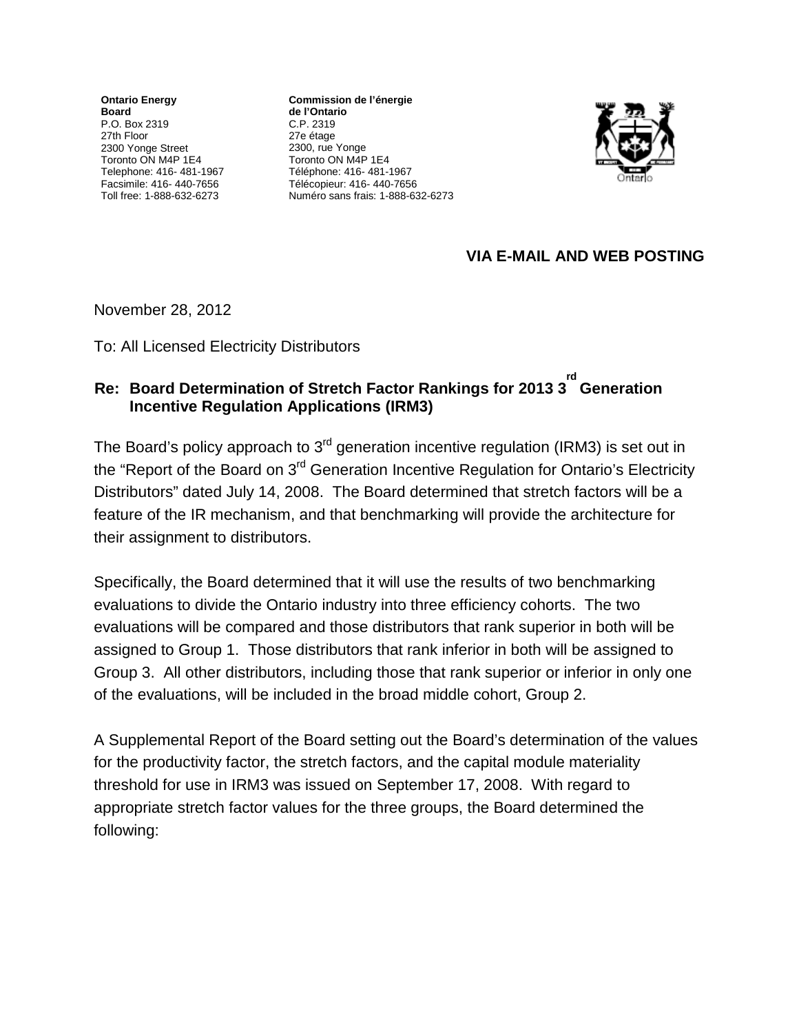**Ontario Energy Board**  P.O. Box 2319 27th Floor 2300 Yonge Street Toronto ON M4P 1E4 Telephone: 416- 481-1967 Facsimile: 416- 440-7656 Toll free: 1-888-632-6273

**Commission de l'énergie de l'Ontario** C.P. 2319 27e étage 2300, rue Yonge Toronto ON M4P 1E4 Téléphone: 416- 481-1967 Télécopieur: 416- 440-7656 Numéro sans frais: 1-888-632-6273



## **VIA E-MAIL AND WEB POSTING**

November 28, 2012

To: All Licensed Electricity Distributors

## **Re: Board Determination of Stretch Factor Rankings for 2013 3 rd Generation Incentive Regulation Applications (IRM3)**

The Board's policy approach to 3<sup>rd</sup> generation incentive regulation (IRM3) is set out in the "Report of the Board on 3<sup>rd</sup> Generation Incentive Regulation for Ontario's Electricity Distributors" dated July 14, 2008. The Board determined that stretch factors will be a feature of the IR mechanism, and that benchmarking will provide the architecture for their assignment to distributors.

Specifically, the Board determined that it will use the results of two benchmarking evaluations to divide the Ontario industry into three efficiency cohorts. The two evaluations will be compared and those distributors that rank superior in both will be assigned to Group 1. Those distributors that rank inferior in both will be assigned to Group 3. All other distributors, including those that rank superior or inferior in only one of the evaluations, will be included in the broad middle cohort, Group 2.

A Supplemental Report of the Board setting out the Board's determination of the values for the productivity factor, the stretch factors, and the capital module materiality threshold for use in IRM3 was issued on September 17, 2008. With regard to appropriate stretch factor values for the three groups, the Board determined the following: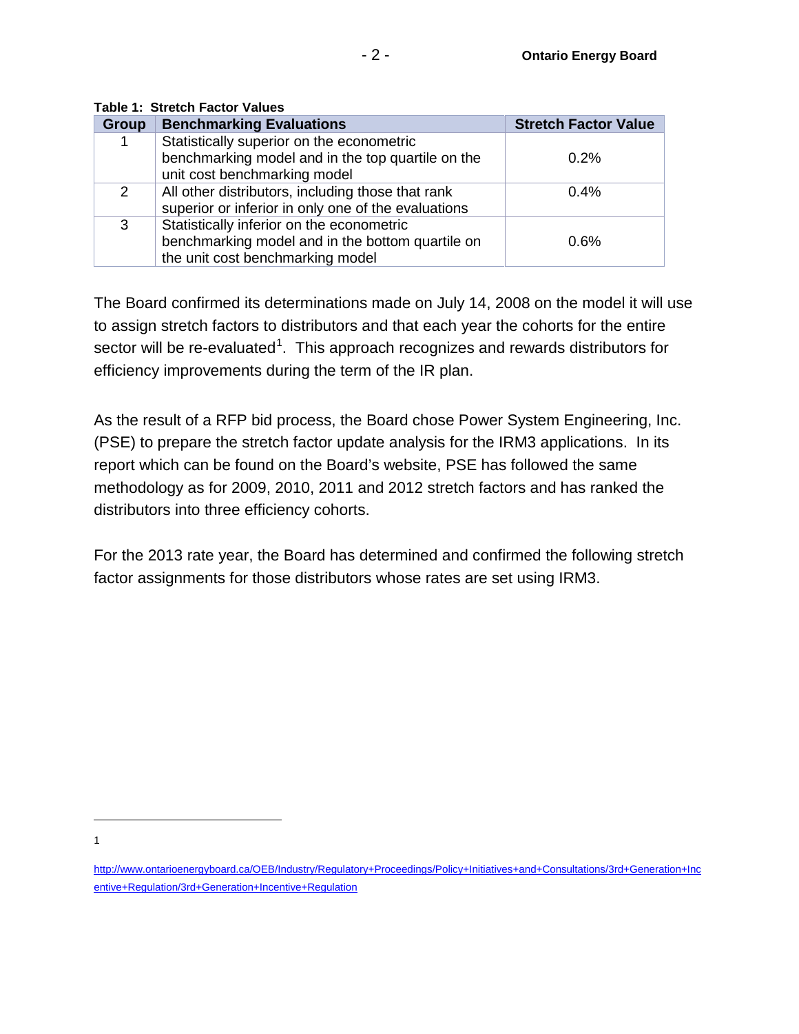| Group | <b>Benchmarking Evaluations</b>                                                                                                   | <b>Stretch Factor Value</b> |
|-------|-----------------------------------------------------------------------------------------------------------------------------------|-----------------------------|
|       | Statistically superior on the econometric<br>benchmarking model and in the top quartile on the<br>unit cost benchmarking model    | 0.2%                        |
| 2     | All other distributors, including those that rank<br>superior or inferior in only one of the evaluations                          | 0.4%                        |
| 3     | Statistically inferior on the econometric<br>benchmarking model and in the bottom quartile on<br>the unit cost benchmarking model | 0.6%                        |

**Table 1: Stretch Factor Values**

The Board confirmed its determinations made on July 14, 2008 on the model it will use to assign stretch factors to distributors and that each year the cohorts for the entire sector will be re-evaluated<sup>[1](#page-1-0)</sup>. This approach recognizes and rewards distributors for efficiency improvements during the term of the IR plan.

As the result of a RFP bid process, the Board chose Power System Engineering, Inc. (PSE) to prepare the stretch factor update analysis for the IRM3 applications. In its report which can be found on the Board's website, PSE has followed the same methodology as for 2009, 2010, 2011 and 2012 stretch factors and has ranked the distributors into three efficiency cohorts.

For the 2013 rate year, the Board has determined and confirmed the following stretch factor assignments for those distributors whose rates are set using IRM3.

 $\overline{a}$ 1

<span id="page-1-0"></span>[http://www.ontarioenergyboard.ca/OEB/Industry/Regulatory+Proceedings/Policy+Initiatives+and+Consultations/3rd+Generation+Inc](http://www.ontarioenergyboard.ca/OEB/Industry/Regulatory+Proceedings/Policy+Initiatives+and+Consultations/3rd+Generation+Incentive+Regulation/3rd+Generation+Incentive+Regulation) [entive+Regulation/3rd+Generation+Incentive+Regulation](http://www.ontarioenergyboard.ca/OEB/Industry/Regulatory+Proceedings/Policy+Initiatives+and+Consultations/3rd+Generation+Incentive+Regulation/3rd+Generation+Incentive+Regulation)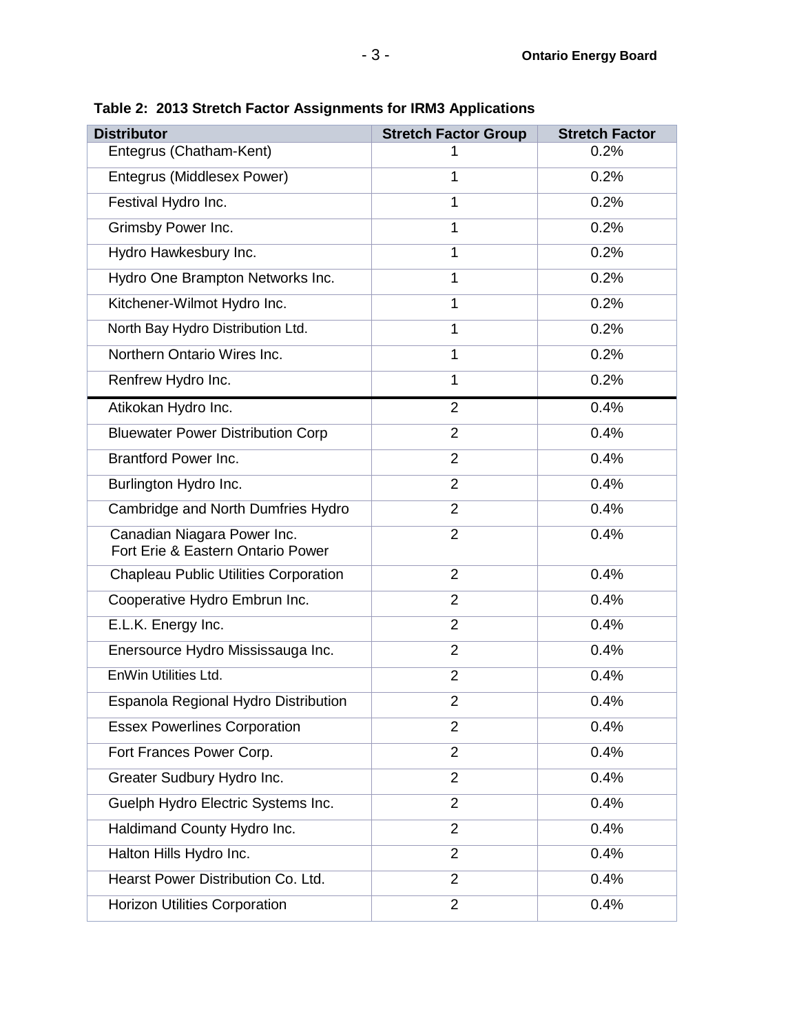| Table 2:  2013 Stretch Factor Assignments for IRM3 Applications  |                             |                       |  |  |
|------------------------------------------------------------------|-----------------------------|-----------------------|--|--|
| <b>Distributor</b>                                               | <b>Stretch Factor Group</b> | <b>Stretch Factor</b> |  |  |
| Entegrus (Chatham-Kent)                                          | 1                           | 0.2%                  |  |  |
| Entegrus (Middlesex Power)                                       | $\mathbf{1}$                | 0.2%                  |  |  |
| Festival Hydro Inc.                                              | $\mathbf{1}$                | 0.2%                  |  |  |
| Grimsby Power Inc.                                               | $\mathbf{1}$                | 0.2%                  |  |  |
| Hydro Hawkesbury Inc.                                            | $\mathbf{1}$                | 0.2%                  |  |  |
| Hydro One Brampton Networks Inc.                                 | $\mathbf{1}$                | 0.2%                  |  |  |
| Kitchener-Wilmot Hydro Inc.                                      | $\mathbf{1}$                | 0.2%                  |  |  |
| North Bay Hydro Distribution Ltd.                                | $\mathbf{1}$                | 0.2%                  |  |  |
| Northern Ontario Wires Inc.                                      | $\mathbf{1}$                | 0.2%                  |  |  |
| Renfrew Hydro Inc.                                               | $\mathbf{1}$                | 0.2%                  |  |  |
| Atikokan Hydro Inc.                                              | $\overline{2}$              | 0.4%                  |  |  |
| <b>Bluewater Power Distribution Corp</b>                         | $\overline{2}$              | 0.4%                  |  |  |
| <b>Brantford Power Inc.</b>                                      | $\overline{2}$              | 0.4%                  |  |  |
| Burlington Hydro Inc.                                            | $\overline{2}$              | 0.4%                  |  |  |
| Cambridge and North Dumfries Hydro                               | $\overline{2}$              | 0.4%                  |  |  |
| Canadian Niagara Power Inc.<br>Fort Erie & Eastern Ontario Power | $\overline{2}$              | 0.4%                  |  |  |
| <b>Chapleau Public Utilities Corporation</b>                     | $\overline{2}$              | 0.4%                  |  |  |
| Cooperative Hydro Embrun Inc.                                    | $\overline{2}$              | 0.4%                  |  |  |
| E.L.K. Energy Inc.                                               | $\overline{2}$              | 0.4%                  |  |  |
| Enersource Hydro Mississauga Inc.                                | $\overline{2}$              | 0.4%                  |  |  |
| EnWin Utilities Ltd.                                             | $\overline{2}$              | 0.4%                  |  |  |
| Espanola Regional Hydro Distribution                             | $\overline{2}$              | 0.4%                  |  |  |
| <b>Essex Powerlines Corporation</b>                              | $\overline{2}$              | 0.4%                  |  |  |

Fort Frances Power Corp. 2 0.4% Greater Sudbury Hydro Inc. 2 0.4% Guelph Hydro Electric Systems Inc. 2 0.4% Haldimand County Hydro Inc. 2 0.4% Halton Hills Hydro Inc. 2 0.4% Hearst Power Distribution Co. Ltd. 2 0.4%

Horizon Utilities Corporation 2 0.4%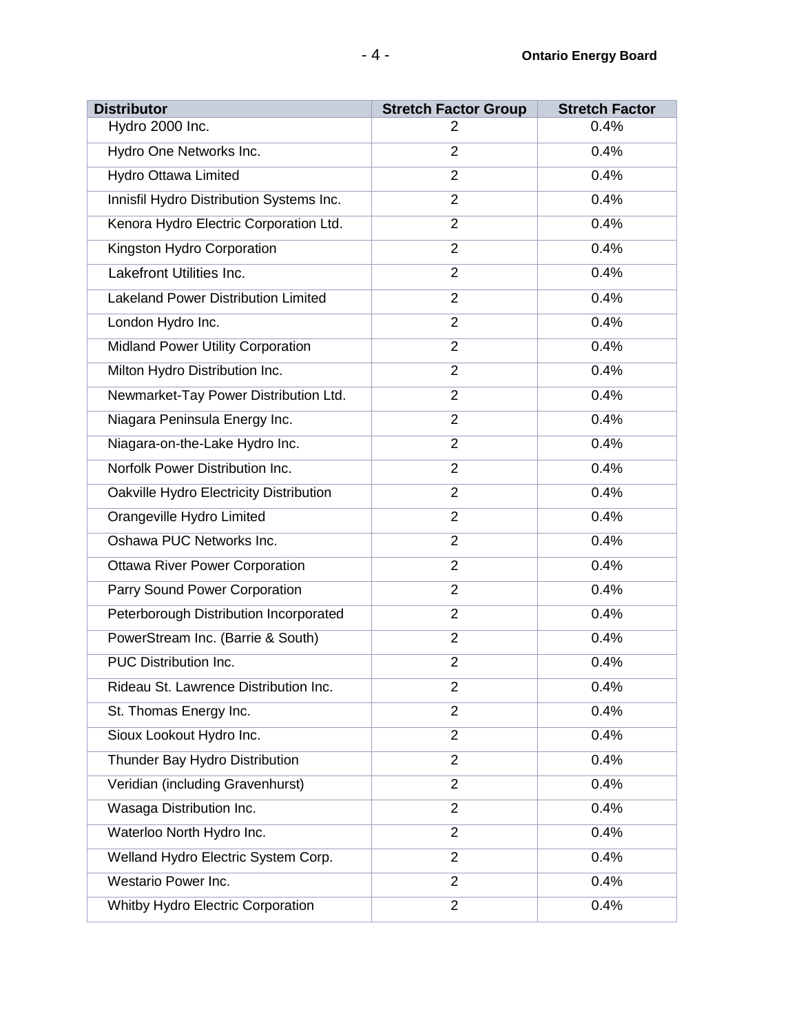| <b>Distributor</b>                         | <b>Stretch Factor Group</b> | <b>Stretch Factor</b> |
|--------------------------------------------|-----------------------------|-----------------------|
| Hydro 2000 Inc.                            | 2                           | 0.4%                  |
| Hydro One Networks Inc.                    | $\overline{2}$              | 0.4%                  |
| <b>Hydro Ottawa Limited</b>                | $\overline{2}$              | 0.4%                  |
| Innisfil Hydro Distribution Systems Inc.   | $\overline{2}$              | 0.4%                  |
| Kenora Hydro Electric Corporation Ltd.     | $\overline{2}$              | 0.4%                  |
| Kingston Hydro Corporation                 | $\overline{2}$              | 0.4%                  |
| <b>Lakefront Utilities Inc.</b>            | $\overline{2}$              | 0.4%                  |
| <b>Lakeland Power Distribution Limited</b> | $\overline{2}$              | 0.4%                  |
| London Hydro Inc.                          | $\overline{2}$              | 0.4%                  |
| <b>Midland Power Utility Corporation</b>   | $\overline{2}$              | 0.4%                  |
| Milton Hydro Distribution Inc.             | $\overline{2}$              | 0.4%                  |
| Newmarket-Tay Power Distribution Ltd.      | $\overline{2}$              | 0.4%                  |
| Niagara Peninsula Energy Inc.              | $\overline{2}$              | 0.4%                  |
| Niagara-on-the-Lake Hydro Inc.             | $\overline{2}$              | 0.4%                  |
| Norfolk Power Distribution Inc.            | $\overline{2}$              | 0.4%                  |
| Oakville Hydro Electricity Distribution    | $\overline{2}$              | 0.4%                  |
| Orangeville Hydro Limited                  | $\overline{2}$              | 0.4%                  |
| Oshawa PUC Networks Inc.                   | $\overline{2}$              | 0.4%                  |
| <b>Ottawa River Power Corporation</b>      | $\overline{2}$              | 0.4%                  |
| Parry Sound Power Corporation              | $\overline{2}$              | 0.4%                  |
| Peterborough Distribution Incorporated     | $\overline{2}$              | 0.4%                  |
| PowerStream Inc. (Barrie & South)          | $\overline{2}$              | 0.4%                  |
| PUC Distribution Inc.                      | $\overline{2}$              | 0.4%                  |
| Rideau St. Lawrence Distribution Inc.      | 2                           | 0.4%                  |
| St. Thomas Energy Inc.                     | $\overline{2}$              | 0.4%                  |
| Sioux Lookout Hydro Inc.                   | $\overline{2}$              | 0.4%                  |
| Thunder Bay Hydro Distribution             | $\overline{2}$              | 0.4%                  |
| Veridian (including Gravenhurst)           | $\overline{2}$              | 0.4%                  |
| Wasaga Distribution Inc.                   | $\overline{2}$              | 0.4%                  |
| Waterloo North Hydro Inc.                  | $\overline{2}$              | 0.4%                  |
| Welland Hydro Electric System Corp.        | $\overline{2}$              | 0.4%                  |
| Westario Power Inc.                        | $\overline{2}$              | 0.4%                  |
| Whitby Hydro Electric Corporation          | $\overline{2}$              | 0.4%                  |